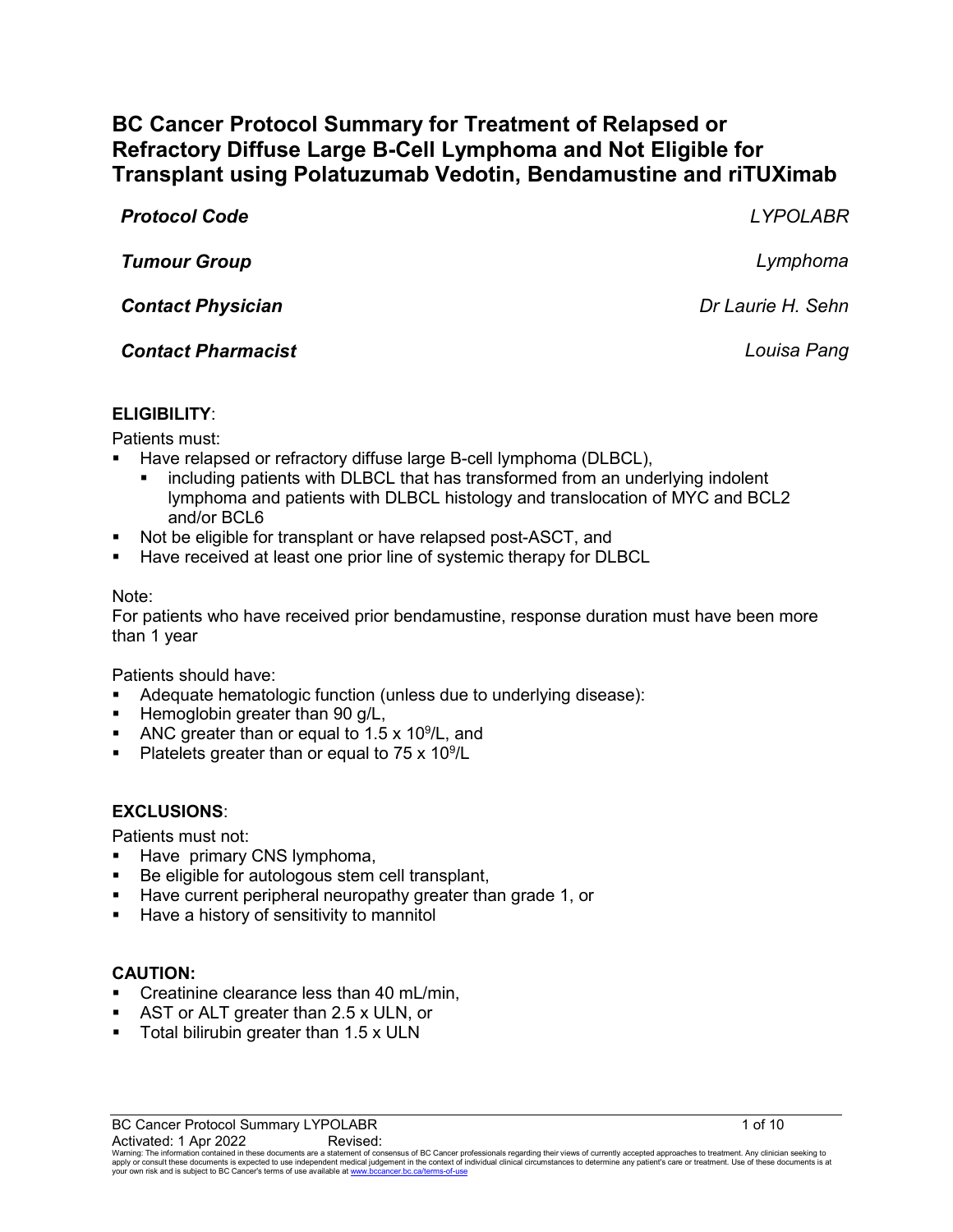# **BC Cancer Protocol Summary for Treatment of Relapsed or Refractory Diffuse Large B-Cell Lymphoma and Not Eligible for Transplant using Polatuzumab Vedotin, Bendamustine and riTUXimab**

| <b>Protocol Code</b>      | <b>LYPOLABR</b>   |
|---------------------------|-------------------|
| <b>Tumour Group</b>       | Lymphoma          |
| <b>Contact Physician</b>  | Dr Laurie H. Sehn |
| <b>Contact Pharmacist</b> | Louisa Pang       |
|                           |                   |

### **ELIGIBILITY**:

Patients must:

- Have relapsed or refractory diffuse large B-cell lymphoma (DLBCL),
	- including patients with DLBCL that has transformed from an underlying indolent lymphoma and patients with DLBCL histology and translocation of MYC and BCL2 and/or BCL6
- Not be eligible for transplant or have relapsed post-ASCT, and
- Have received at least one prior line of systemic therapy for DLBCL

#### Note:

For patients who have received prior bendamustine, response duration must have been more than 1 year

Patients should have:

- Adequate hematologic function (unless due to underlying disease):
- $\blacksquare$  Hemoglobin greater than 90 g/L,
- ANC greater than or equal to  $1.5 \times 10^9$ /L, and
- Platelets greater than or equal to  $75 \times 10^9$ /L

#### **EXCLUSIONS**:

Patients must not:

- Have primary CNS lymphoma,
- Be eligible for autologous stem cell transplant,
- **Have current peripheral neuropathy greater than grade 1, or**
- **Have a history of sensitivity to mannitol**

#### **CAUTION:**

- Creatinine clearance less than 40 mL/min,
- AST or ALT greater than 2.5 x ULN, or
- Total bilirubin greater than 1.5 x ULN

BC Cancer Protocol Summary LYPOLABR 1 of 10

 $\rm Activated:1$   $\rm Apr$   $\rm 2022$   $\rm Revised$ :<br>Warning: The information contained in these documents are a statement of consensus of BC Cancer professionals regarding their views of currently accepted approaches to treatment. Any cli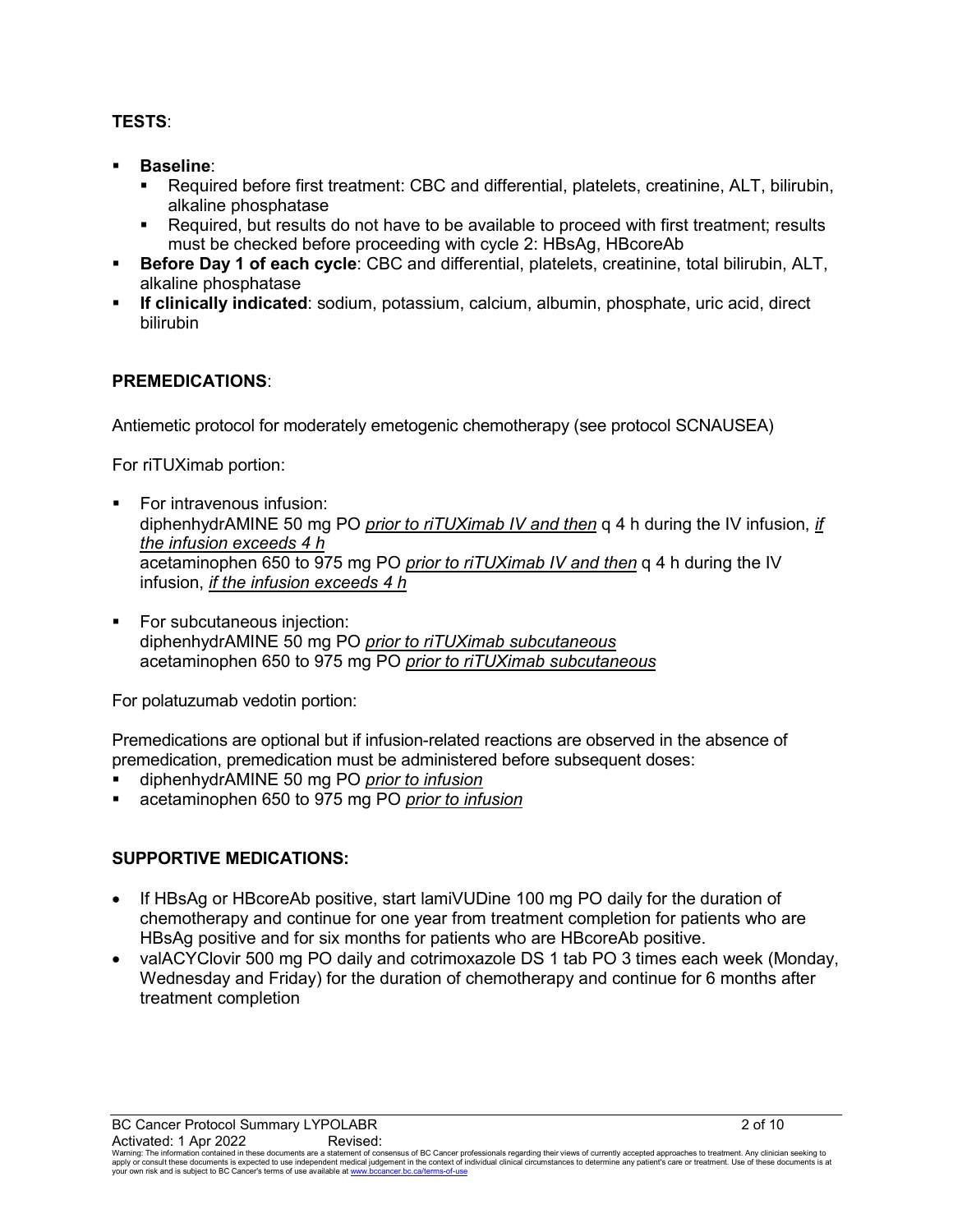## **TESTS**:

- **Baseline**:
	- Required before first treatment: CBC and differential, platelets, creatinine, ALT, bilirubin, alkaline phosphatase
	- Required, but results do not have to be available to proceed with first treatment; results must be checked before proceeding with cycle 2: HBsAg, HBcoreAb
- **Before Day 1 of each cycle**: CBC and differential, platelets, creatinine, total bilirubin, ALT, alkaline phosphatase
- **If clinically indicated**: sodium, potassium, calcium, albumin, phosphate, uric acid, direct bilirubin

## **PREMEDICATIONS**:

Antiemetic protocol for moderately emetogenic chemotherapy (see protocol SCNAUSEA)

For riTUXimab portion:

- For intravenous infusion: diphenhydrAMINE 50 mg PO *prior to riTUXimab IV and then* q 4 h during the IV infusion, *if the infusion exceeds 4 h* acetaminophen 650 to 975 mg PO *prior to riTUXimab IV and then* q 4 h during the IV infusion, *if the infusion exceeds 4 h*
- **For subcutaneous injection:** diphenhydrAMINE 50 mg PO *prior to riTUXimab subcutaneous* acetaminophen 650 to 975 mg PO *prior to riTUXimab subcutaneous*

For polatuzumab vedotin portion:

Premedications are optional but if infusion-related reactions are observed in the absence of premedication, premedication must be administered before subsequent doses:

- diphenhydrAMINE 50 mg PO *prior to infusion*
- acetaminophen 650 to 975 mg PO *prior to infusion*

## **SUPPORTIVE MEDICATIONS:**

- If HBsAg or HBcoreAb positive, start lamiVUDine 100 mg PO daily for the duration of chemotherapy and continue for one year from treatment completion for patients who are HBsAg positive and for six months for patients who are HBcoreAb positive.
- valACYClovir 500 mg PO daily and cotrimoxazole DS 1 tab PO 3 times each week (Monday, Wednesday and Friday) for the duration of chemotherapy and continue for 6 months after treatment completion

BC Cancer Protocol Summary LYPOLABR 2 of 10

 $\rm Activated:1$   $\rm Apr$   $\rm 2022$   $\rm Revised$ :<br>Warning: The information contained in these documents are a statement of consensus of BC Cancer professionals regarding their views of currently accepted approaches to treatment. Any cli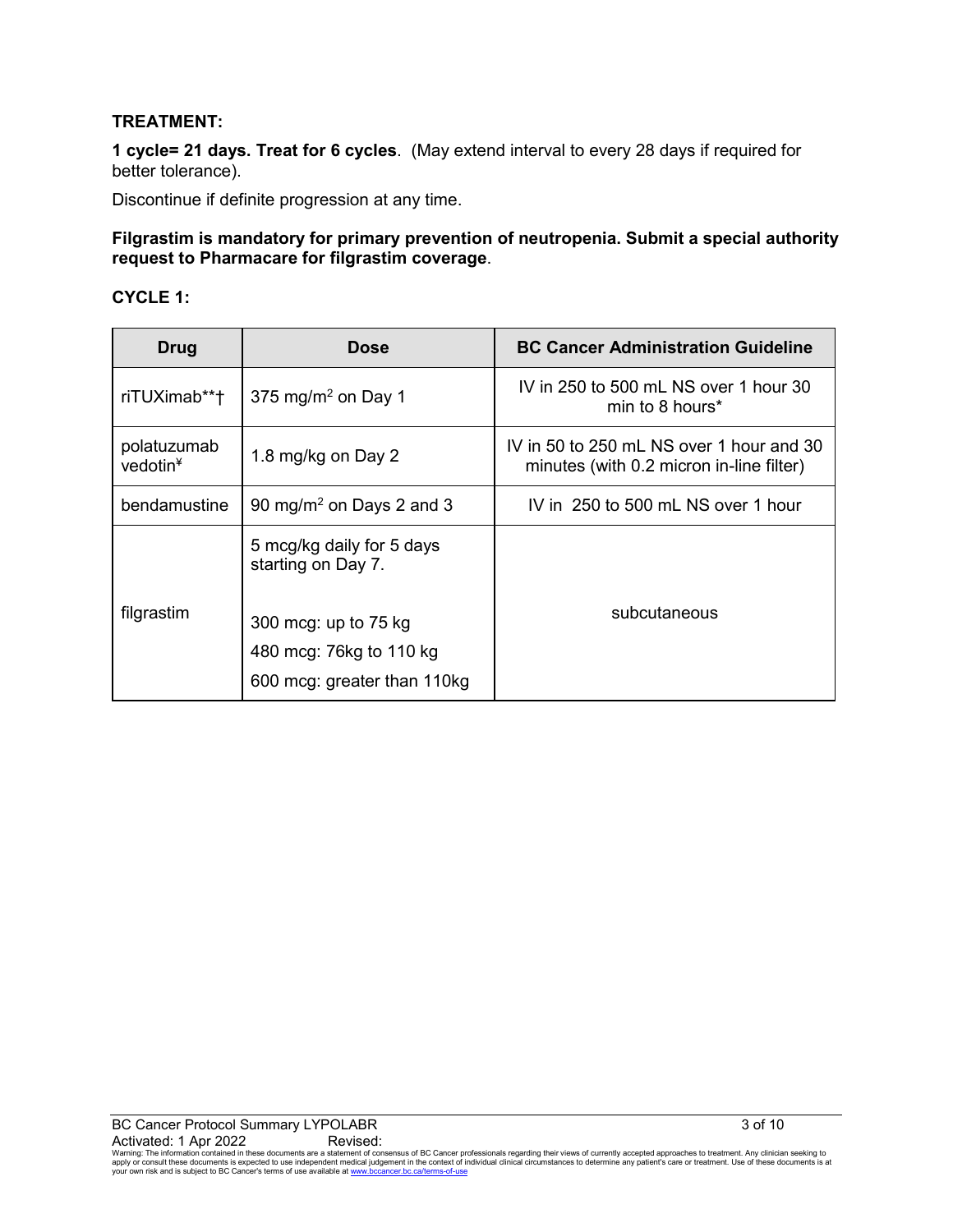### **TREATMENT:**

**1 cycle= 21 days. Treat for 6 cycles**. (May extend interval to every 28 days if required for better tolerance).

Discontinue if definite progression at any time.

#### **Filgrastim is mandatory for primary prevention of neutropenia. Submit a special authority request to Pharmacare for filgrastim coverage**.

#### **CYCLE 1:**

| Drug                                | Dose                                                                    | <b>BC Cancer Administration Guideline</b>                                            |  |
|-------------------------------------|-------------------------------------------------------------------------|--------------------------------------------------------------------------------------|--|
| riTUXimab**†                        | 375 mg/m <sup>2</sup> on Day 1                                          | IV in 250 to 500 mL NS over 1 hour 30<br>min to 8 hours*                             |  |
| polatuzumab<br>vedotin <sup>4</sup> | 1.8 mg/kg on Day 2                                                      | IV in 50 to 250 mL NS over 1 hour and 30<br>minutes (with 0.2 micron in-line filter) |  |
| bendamustine                        | 90 mg/m <sup>2</sup> on Days 2 and 3                                    | IV in 250 to 500 mL NS over 1 hour                                                   |  |
| filgrastim                          | 5 mcg/kg daily for 5 days<br>starting on Day 7.<br>300 mcg: up to 75 kg | subcutaneous                                                                         |  |
|                                     | 480 mcg: 76kg to 110 kg<br>600 mcg: greater than 110kg                  |                                                                                      |  |

 $\rm Activated:1$   $\rm Apr$   $\rm 2022$   $\rm Revised$ :<br>Warning: The information contained in these documents are a statement of consensus of BC Cancer professionals regarding their views of currently accepted approaches to treatment. Any cli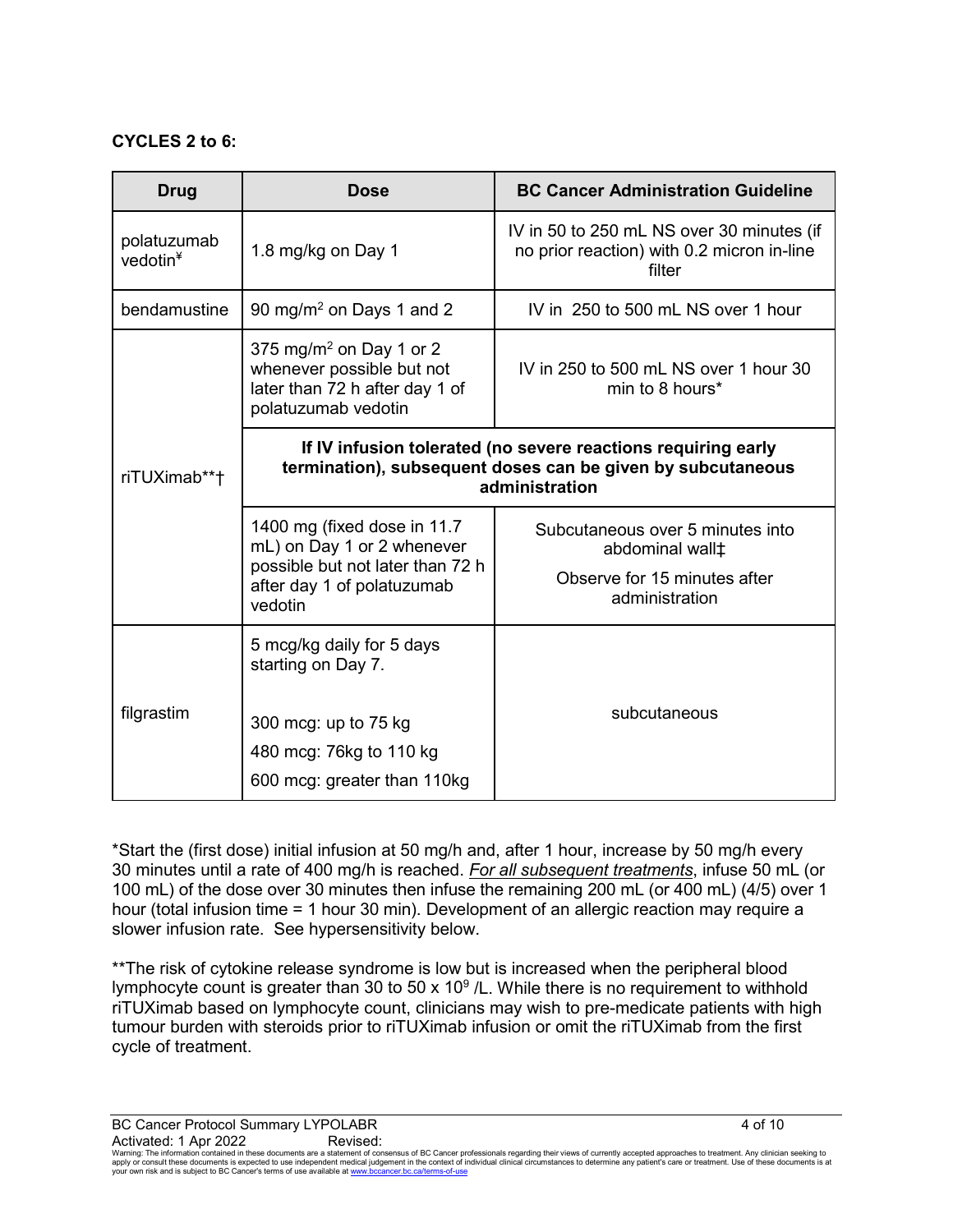#### **CYCLES 2 to 6:**

| Drug                                | <b>Dose</b>                                                                                                                                    | <b>BC Cancer Administration Guideline</b>                                                                         |  |
|-------------------------------------|------------------------------------------------------------------------------------------------------------------------------------------------|-------------------------------------------------------------------------------------------------------------------|--|
| polatuzumab<br>vedotin <sup>4</sup> | 1.8 mg/kg on Day 1                                                                                                                             | IV in 50 to 250 mL NS over 30 minutes (if<br>no prior reaction) with 0.2 micron in-line<br>filter                 |  |
| bendamustine                        | 90 mg/m <sup>2</sup> on Days 1 and 2                                                                                                           | IV in 250 to 500 mL NS over 1 hour                                                                                |  |
|                                     | 375 mg/m <sup>2</sup> on Day 1 or 2<br>whenever possible but not<br>later than 72 h after day 1 of<br>polatuzumab vedotin                      | IV in 250 to 500 mL NS over 1 hour 30<br>min to 8 hours*                                                          |  |
| riTUXimab**†                        | If IV infusion tolerated (no severe reactions requiring early<br>termination), subsequent doses can be given by subcutaneous<br>administration |                                                                                                                   |  |
|                                     | 1400 mg (fixed dose in 11.7)<br>mL) on Day 1 or 2 whenever<br>possible but not later than 72 h<br>after day 1 of polatuzumab<br>vedotin        | Subcutaneous over 5 minutes into<br>abdominal wall <sup>+</sup><br>Observe for 15 minutes after<br>administration |  |
|                                     | 5 mcg/kg daily for 5 days<br>starting on Day 7.                                                                                                |                                                                                                                   |  |
| filgrastim                          | 300 mcg: up to 75 kg<br>480 mcg: 76kg to 110 kg<br>600 mcg: greater than 110kg                                                                 | subcutaneous                                                                                                      |  |

\*Start the (first dose) initial infusion at 50 mg/h and, after 1 hour, increase by 50 mg/h every 30 minutes until a rate of 400 mg/h is reached. *For all subsequent treatments*, infuse 50 mL (or 100 mL) of the dose over 30 minutes then infuse the remaining 200 mL (or 400 mL) (4/5) over 1 hour (total infusion time = 1 hour 30 min). Development of an allergic reaction may require a slower infusion rate. See hypersensitivity below.

\*\*The risk of cytokine release syndrome is low but is increased when the peripheral blood lymphocyte count is greater than 30 to 50 x 10 $\degree$  /L. While there is no requirement to withhold riTUXimab based on lymphocyte count, clinicians may wish to pre-medicate patients with high tumour burden with steroids prior to riTUXimab infusion or omit the riTUXimab from the first cycle of treatment.

BC Cancer Protocol Summary LYPOLABR 4 of 10

 $\rm Activated:1$   $\rm Apr$   $\rm 2022$   $\rm Revised$ :<br>Warning: The information contained in these documents are a statement of consensus of BC Cancer professionals regarding their views of currently accepted approaches to treatment. Any cli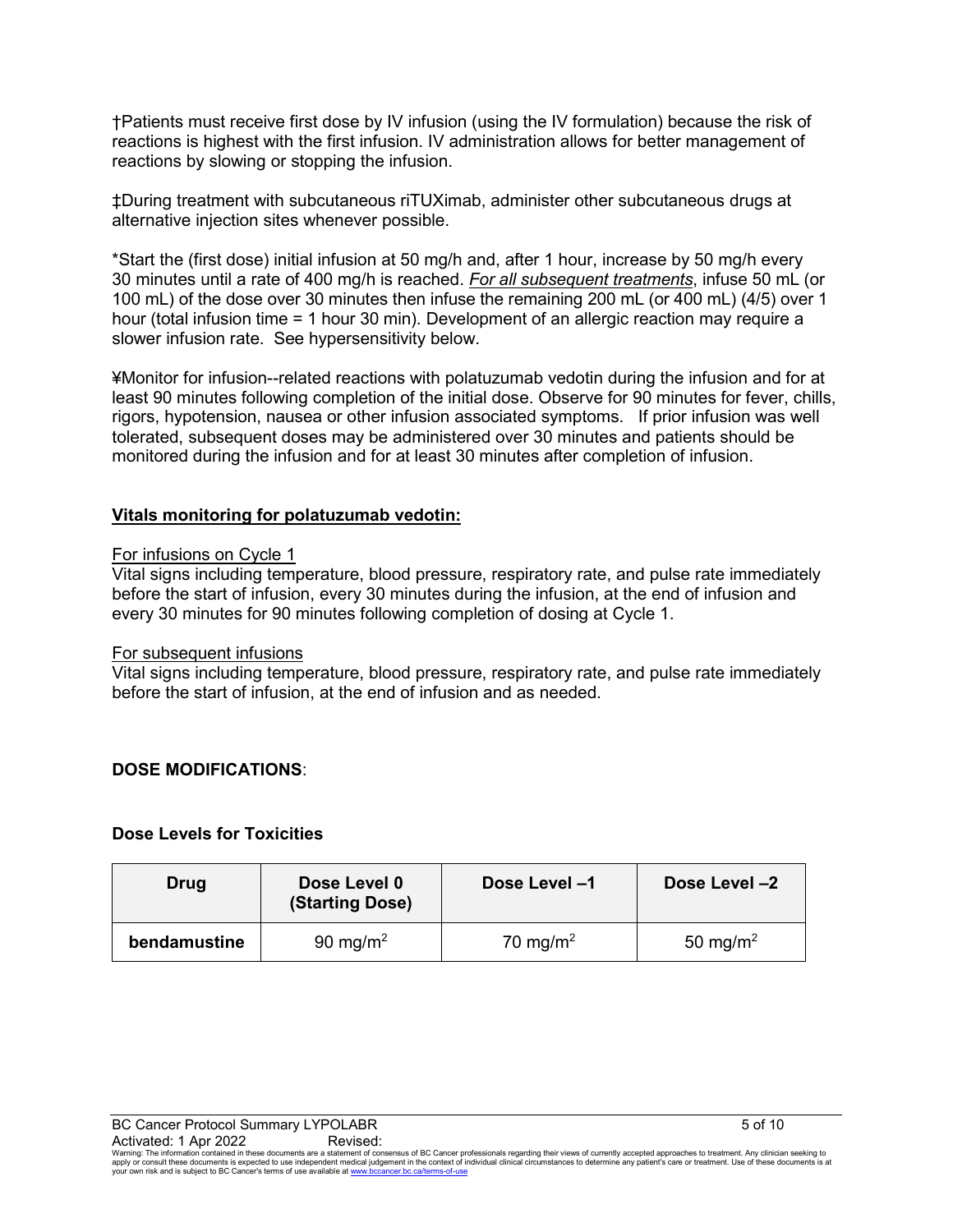†Patients must receive first dose by IV infusion (using the IV formulation) because the risk of reactions is highest with the first infusion. IV administration allows for better management of reactions by slowing or stopping the infusion.

‡During treatment with subcutaneous riTUXimab, administer other subcutaneous drugs at alternative injection sites whenever possible.

\*Start the (first dose) initial infusion at 50 mg/h and, after 1 hour, increase by 50 mg/h every 30 minutes until a rate of 400 mg/h is reached. *For all subsequent treatments*, infuse 50 mL (or 100 mL) of the dose over 30 minutes then infuse the remaining 200 mL (or 400 mL) (4/5) over 1 hour (total infusion time = 1 hour 30 min). Development of an allergic reaction may require a slower infusion rate. See hypersensitivity below.

¥Monitor for infusion--related reactions with polatuzumab vedotin during the infusion and for at least 90 minutes following completion of the initial dose. Observe for 90 minutes for fever, chills, rigors, hypotension, nausea or other infusion associated symptoms. If prior infusion was well tolerated, subsequent doses may be administered over 30 minutes and patients should be monitored during the infusion and for at least 30 minutes after completion of infusion.

#### **Vitals monitoring for polatuzumab vedotin:**

#### For infusions on Cycle 1

Vital signs including temperature, blood pressure, respiratory rate, and pulse rate immediately before the start of infusion, every 30 minutes during the infusion, at the end of infusion and every 30 minutes for 90 minutes following completion of dosing at Cycle 1.

#### For subsequent infusions

Vital signs including temperature, blood pressure, respiratory rate, and pulse rate immediately before the start of infusion, at the end of infusion and as needed.

#### **DOSE MODIFICATIONS**:

#### **Dose Levels for Toxicities**

| Drug         | Dose Level 0<br>(Starting Dose) | Dose Level -1        | Dose Level -2        |
|--------------|---------------------------------|----------------------|----------------------|
| bendamustine | 90 mg/m <sup>2</sup>            | 70 mg/m <sup>2</sup> | 50 mg/m <sup>2</sup> |

 $\rm Activated:1$   $\rm Apr$   $\rm 2022$   $\rm Revised$ :<br>Warning: The information contained in these documents are a statement of consensus of BC Cancer professionals regarding their views of currently accepted approaches to treatment. Any cli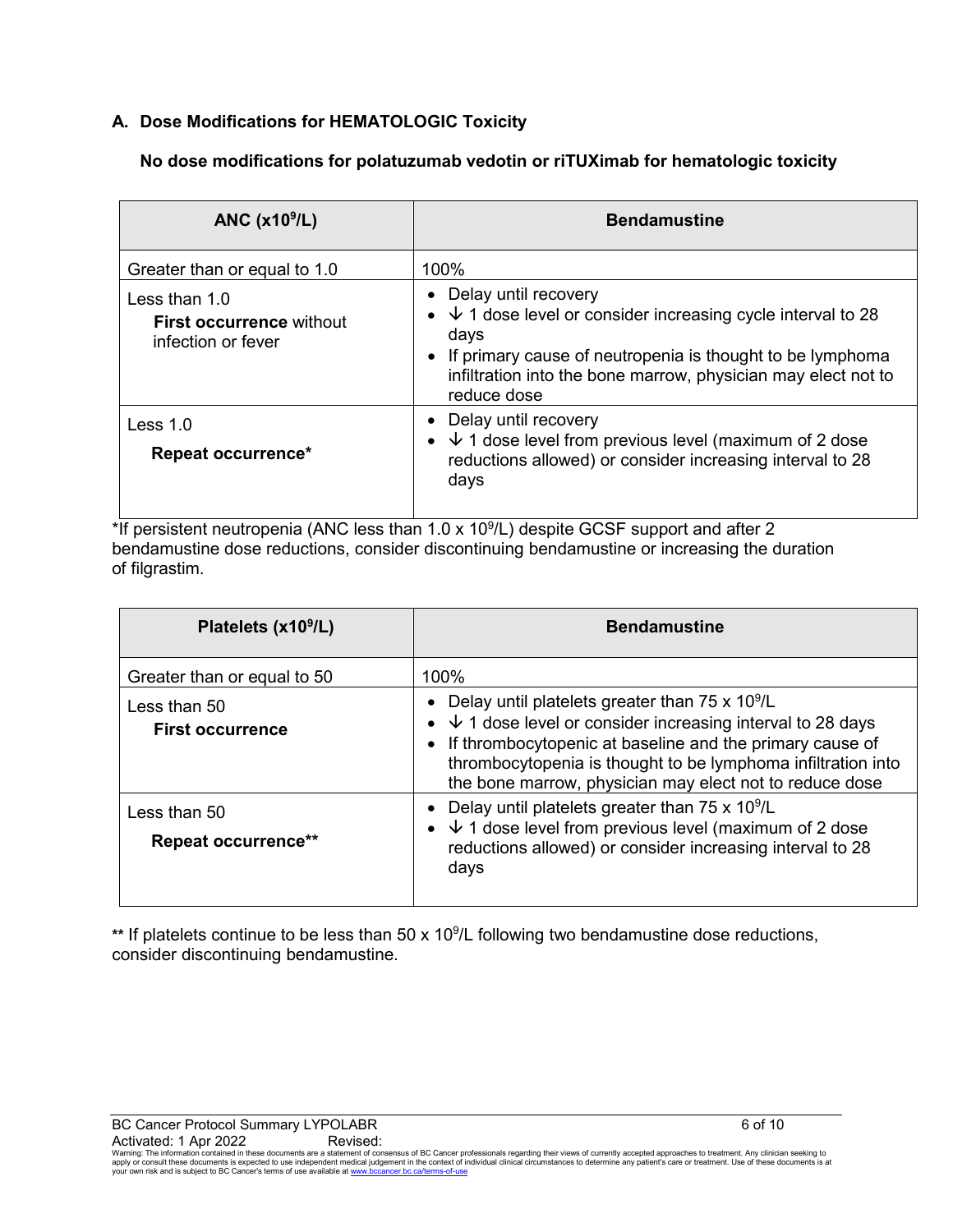## **A. Dose Modifications for HEMATOLOGIC Toxicity**

## **No dose modifications for polatuzumab vedotin or riTUXimab for hematologic toxicity**

| ANC $(x109/L)$                                                           | <b>Bendamustine</b>                                                                                                                                                                                                                                             |
|--------------------------------------------------------------------------|-----------------------------------------------------------------------------------------------------------------------------------------------------------------------------------------------------------------------------------------------------------------|
| Greater than or equal to 1.0                                             | 100%                                                                                                                                                                                                                                                            |
| Less than $1.0$<br><b>First occurrence without</b><br>infection or fever | Delay until recovery<br>$\bullet$<br>• $\sqrt{1}$ dose level or consider increasing cycle interval to 28<br>days<br>• If primary cause of neutropenia is thought to be lymphoma<br>infiltration into the bone marrow, physician may elect not to<br>reduce dose |
| Less $1.0$<br>Repeat occurrence*                                         | Delay until recovery<br>$\bullet$<br>• $\sqrt{1}$ dose level from previous level (maximum of 2 dose<br>reductions allowed) or consider increasing interval to 28<br>days                                                                                        |

\*If persistent neutropenia (ANC less than 1.0 x 10<sup>9</sup>/L) despite GCSF support and after 2 bendamustine dose reductions, consider discontinuing bendamustine or increasing the duration of filgrastim.

| Platelets (x10 <sup>9</sup> /L)            | <b>Bendamustine</b>                                                                                                                                                                                                                                                                                                     |
|--------------------------------------------|-------------------------------------------------------------------------------------------------------------------------------------------------------------------------------------------------------------------------------------------------------------------------------------------------------------------------|
| Greater than or equal to 50                | 100%                                                                                                                                                                                                                                                                                                                    |
| Less than $50$<br><b>First occurrence</b>  | • Delay until platelets greater than $75 \times 10^9$ /L<br>• $\sqrt{1}$ dose level or consider increasing interval to 28 days<br>• If thrombocytopenic at baseline and the primary cause of<br>thrombocytopenia is thought to be lymphoma infiltration into<br>the bone marrow, physician may elect not to reduce dose |
| Less than 50<br><b>Repeat occurrence**</b> | Delay until platelets greater than $75 \times 10^9$ /L<br>• $\sqrt{1}$ dose level from previous level (maximum of 2 dose<br>reductions allowed) or consider increasing interval to 28<br>days                                                                                                                           |

\*\* If platelets continue to be less than 50 x 10<sup>9</sup>/L following two bendamustine dose reductions, consider discontinuing bendamustine.

BC Cancer Protocol Summary LYPOLABR 6 of 10

 $\rm Activated:1$   $\rm Apr$   $\rm 2022$   $\rm Revised$ :<br>Warning: The information contained in these documents are a statement of consensus of BC Cancer professionals regarding their views of currently accepted approaches to treatment. Any cli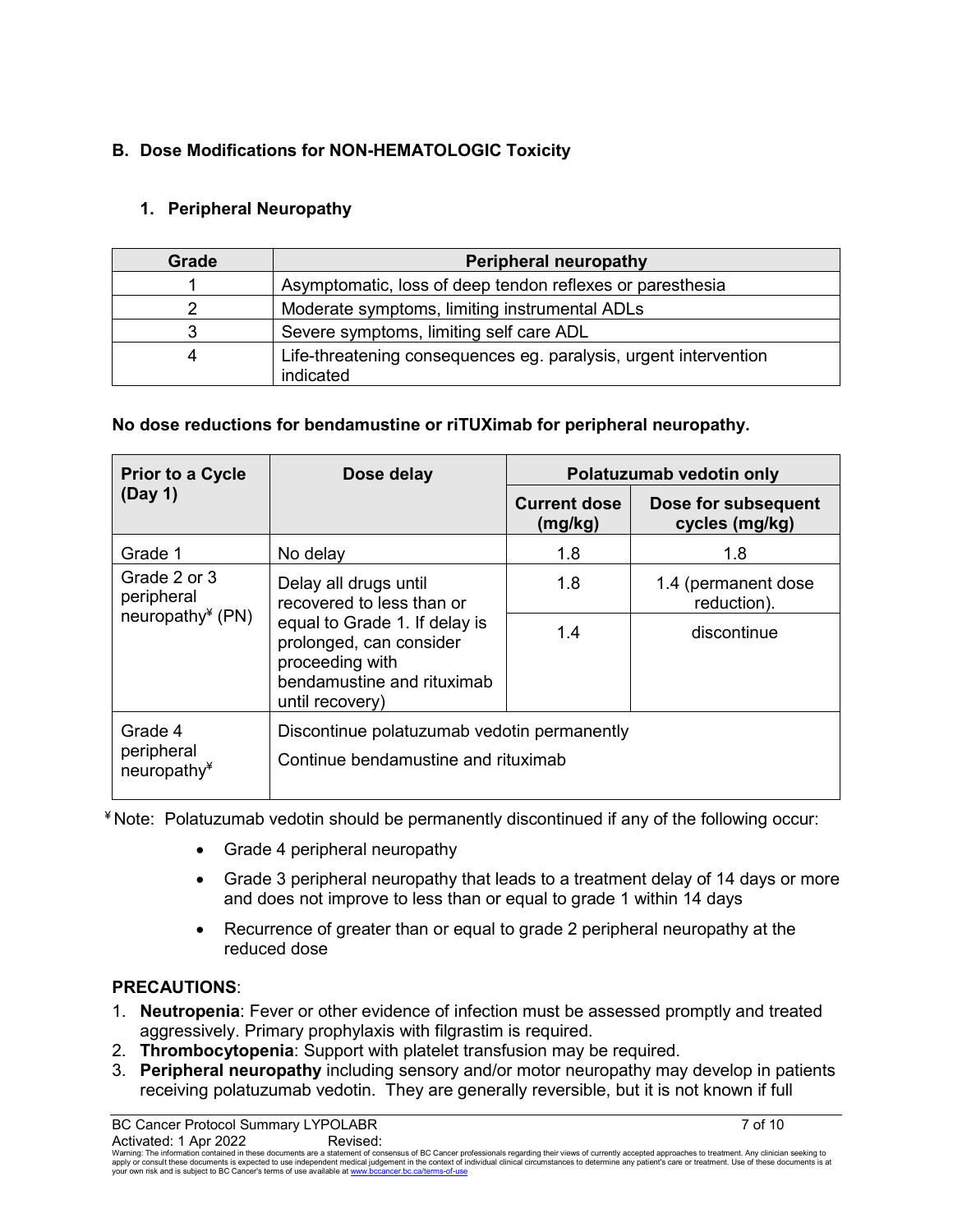## **B. Dose Modifications for NON-HEMATOLOGIC Toxicity**

## **1. Peripheral Neuropathy**

| Grade | Peripheral neuropathy                                                         |  |
|-------|-------------------------------------------------------------------------------|--|
|       | Asymptomatic, loss of deep tendon reflexes or paresthesia                     |  |
|       | Moderate symptoms, limiting instrumental ADLs                                 |  |
|       | Severe symptoms, limiting self care ADL                                       |  |
| 4     | Life-threatening consequences eg. paralysis, urgent intervention<br>indicated |  |

## **No dose reductions for bendamustine or riTUXimab for peripheral neuropathy.**

| <b>Prior to a Cycle</b>                                                                                                                            | Dose delay                                                                         | Polatuzumab vedotin only       |                                       |
|----------------------------------------------------------------------------------------------------------------------------------------------------|------------------------------------------------------------------------------------|--------------------------------|---------------------------------------|
| (Day 1)                                                                                                                                            |                                                                                    | <b>Current dose</b><br>(mg/kg) | Dose for subsequent<br>cycles (mg/kg) |
| Grade 1                                                                                                                                            | No delay                                                                           | 1.8                            | 1.8                                   |
| Grade 2 or 3<br>peripheral                                                                                                                         | Delay all drugs until<br>recovered to less than or                                 | 1.8                            | 1.4 (permanent dose<br>reduction).    |
| neuropathy $*(PN)$<br>equal to Grade 1. If delay is<br>prolonged, can consider<br>proceeding with<br>bendamustine and rituximab<br>until recovery) |                                                                                    | 1.4                            | discontinue                           |
| Grade 4<br>peripheral<br>neuropathy $*$                                                                                                            | Discontinue polatuzumab vedotin permanently<br>Continue bendamustine and rituximab |                                |                                       |

¥ Note: Polatuzumab vedotin should be permanently discontinued if any of the following occur:

- Grade 4 peripheral neuropathy
- Grade 3 peripheral neuropathy that leads to a treatment delay of 14 days or more and does not improve to less than or equal to grade 1 within 14 days
- Recurrence of greater than or equal to grade 2 peripheral neuropathy at the reduced dose

## **PRECAUTIONS**:

- 1. **Neutropenia**: Fever or other evidence of infection must be assessed promptly and treated aggressively. Primary prophylaxis with filgrastim is required.
- 2. **Thrombocytopenia**: Support with platelet transfusion may be required.
- 3. **Peripheral neuropathy** including sensory and/or motor neuropathy may develop in patients receiving polatuzumab vedotin. They are generally reversible, but it is not known if full

 $\rm Activated:1$   $\rm Apr$   $\rm 2022$   $\rm Revised$ :<br>Warning: The information contained in these documents are a statement of consensus of BC Cancer professionals regarding their views of currently accepted approaches to treatment. Any cli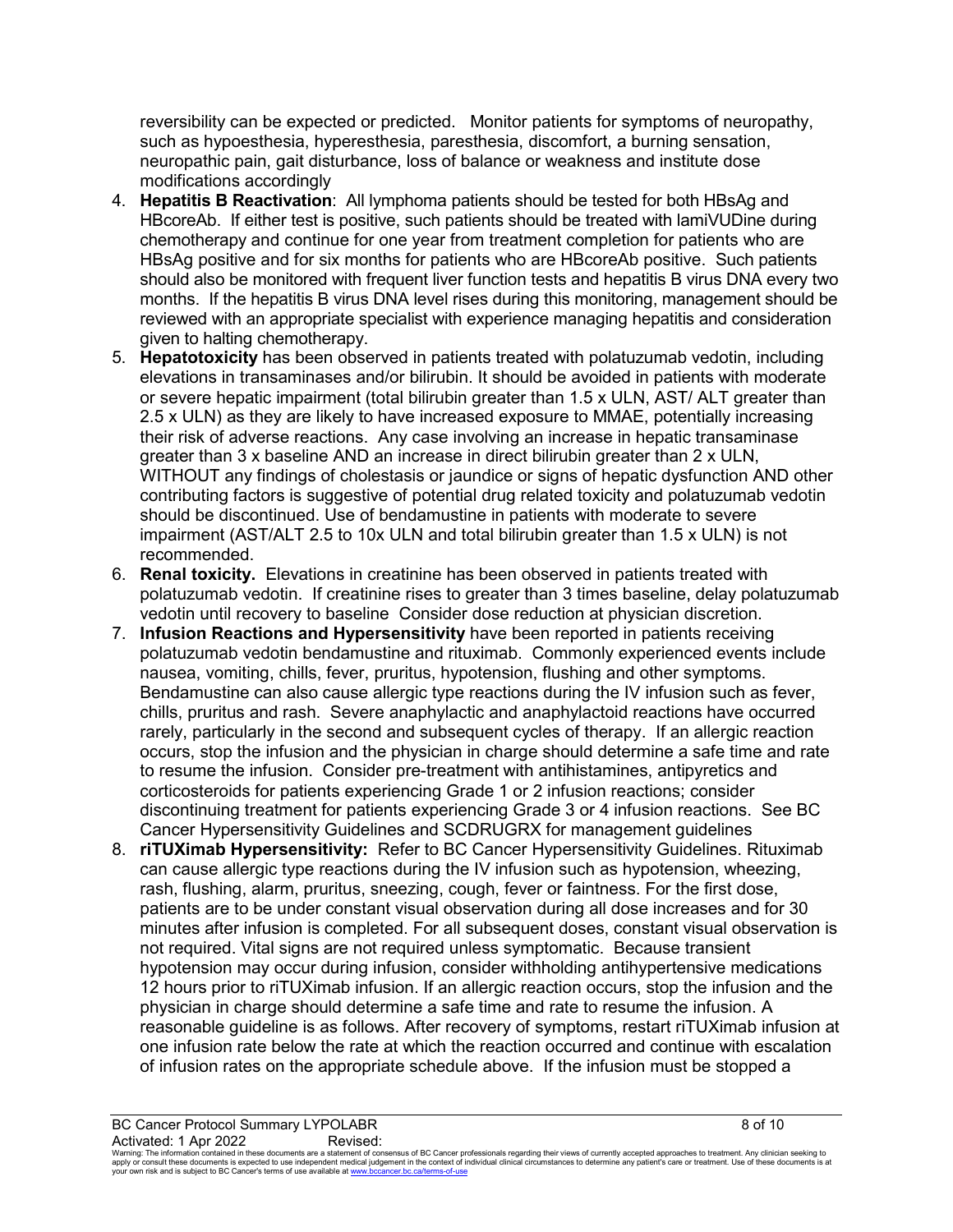reversibility can be expected or predicted. Monitor patients for symptoms of neuropathy, such as hypoesthesia, hyperesthesia, paresthesia, discomfort, a burning sensation, neuropathic pain, gait disturbance, loss of balance or weakness and institute dose modifications accordingly

- 4. **Hepatitis B Reactivation**:All lymphoma patients should be tested for both HBsAg and HBcoreAb. If either test is positive, such patients should be treated with lamiVUDine during chemotherapy and continue for one year from treatment completion for patients who are HBsAg positive and for six months for patients who are HBcoreAb positive. Such patients should also be monitored with frequent liver function tests and hepatitis B virus DNA every two months. If the hepatitis B virus DNA level rises during this monitoring, management should be reviewed with an appropriate specialist with experience managing hepatitis and consideration given to halting chemotherapy.
- 5. **Hepatotoxicity** has been observed in patients treated with polatuzumab vedotin, including elevations in transaminases and/or bilirubin. It should be avoided in patients with moderate or severe hepatic impairment (total bilirubin greater than 1.5 x ULN, AST/ ALT greater than 2.5 x ULN) as they are likely to have increased exposure to MMAE, potentially increasing their risk of adverse reactions. Any case involving an increase in hepatic transaminase greater than 3 x baseline AND an increase in direct bilirubin greater than 2 x ULN, WITHOUT any findings of cholestasis or jaundice or signs of hepatic dysfunction AND other contributing factors is suggestive of potential drug related toxicity and polatuzumab vedotin should be discontinued. Use of bendamustine in patients with moderate to severe impairment (AST/ALT 2.5 to 10x ULN and total bilirubin greater than 1.5 x ULN) is not recommended.
- 6. **Renal toxicity.** Elevations in creatinine has been observed in patients treated with polatuzumab vedotin. If creatinine rises to greater than 3 times baseline, delay polatuzumab vedotin until recovery to baseline Consider dose reduction at physician discretion.
- 7. **Infusion Reactions and Hypersensitivity** have been reported in patients receiving polatuzumab vedotin bendamustine and rituximab. Commonly experienced events include nausea, vomiting, chills, fever, pruritus, hypotension, flushing and other symptoms. Bendamustine can also cause allergic type reactions during the IV infusion such as fever, chills, pruritus and rash. Severe anaphylactic and anaphylactoid reactions have occurred rarely, particularly in the second and subsequent cycles of therapy. If an allergic reaction occurs, stop the infusion and the physician in charge should determine a safe time and rate to resume the infusion. Consider pre-treatment with antihistamines, antipyretics and corticosteroids for patients experiencing Grade 1 or 2 infusion reactions; consider discontinuing treatment for patients experiencing Grade 3 or 4 infusion reactions. See BC Cancer Hypersensitivity Guidelines and SCDRUGRX for management guidelines
- 8. **riTUXimab Hypersensitivity:** Refer to BC Cancer Hypersensitivity Guidelines. Rituximab can cause allergic type reactions during the IV infusion such as hypotension, wheezing, rash, flushing, alarm, pruritus, sneezing, cough, fever or faintness. For the first dose, patients are to be under constant visual observation during all dose increases and for 30 minutes after infusion is completed. For all subsequent doses, constant visual observation is not required. Vital signs are not required unless symptomatic. Because transient hypotension may occur during infusion, consider withholding antihypertensive medications 12 hours prior to riTUXimab infusion. If an allergic reaction occurs, stop the infusion and the physician in charge should determine a safe time and rate to resume the infusion. A reasonable guideline is as follows. After recovery of symptoms, restart riTUXimab infusion at one infusion rate below the rate at which the reaction occurred and continue with escalation of infusion rates on the appropriate schedule above. If the infusion must be stopped a

BC Cancer Protocol Summary LYPOLABR 8 of 10 Activated: 1 Apr 2022 Revised:

Waming: The information contained in these documents are a statement of consensus of BC Cancer professionals regarding their views of currently accepted approaches to treatment. Any clinicial seeking to<br>apply or consult th your own risk and is subject to BC Cancer's terms of use available a[t www.bccancer.bc.ca/terms-of-use](http://www.bccancer.bc.ca/terms-of-use)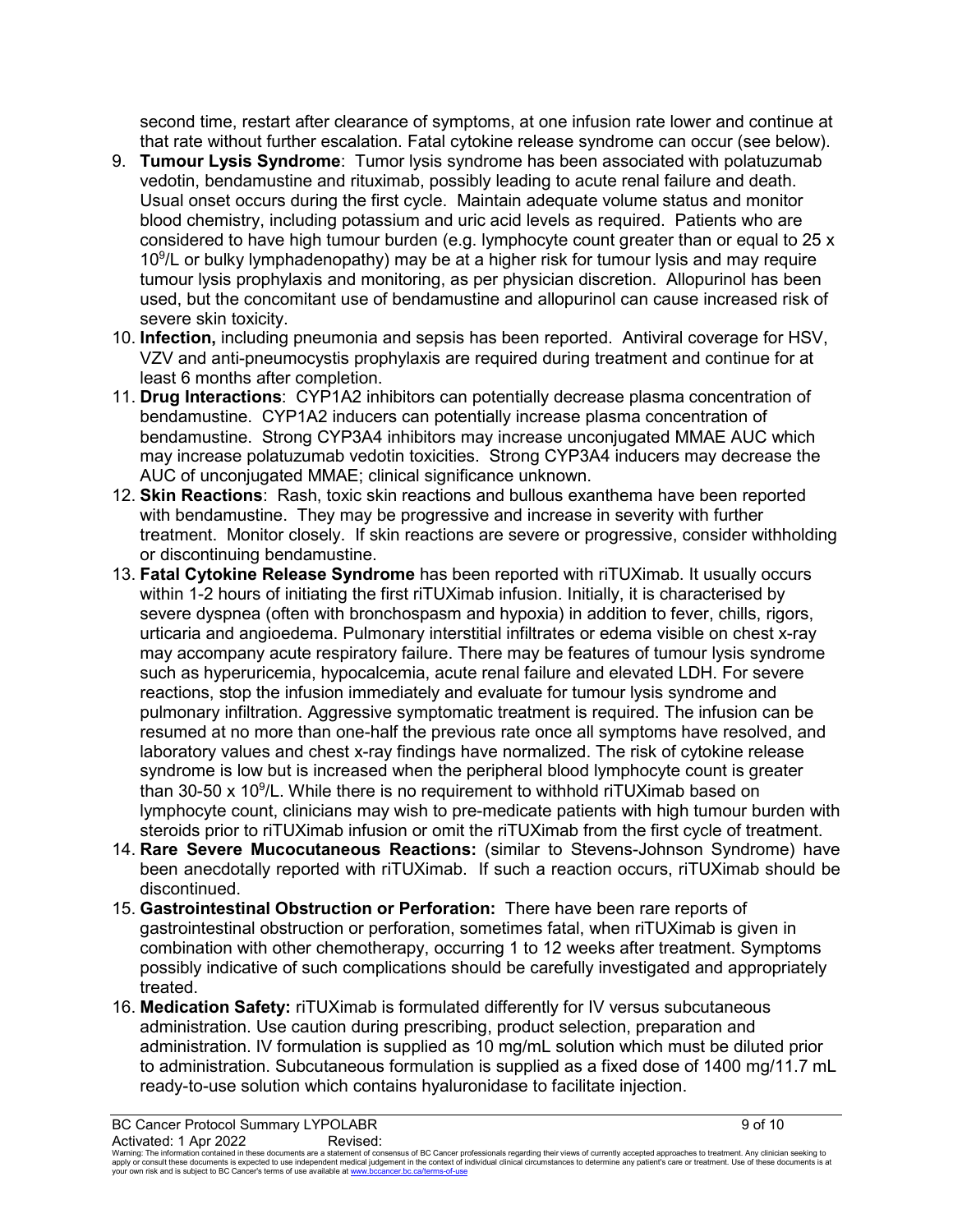second time, restart after clearance of symptoms, at one infusion rate lower and continue at that rate without further escalation. Fatal cytokine release syndrome can occur (see below).

- 9. **Tumour Lysis Syndrome**: Tumor lysis syndrome has been associated with polatuzumab vedotin, bendamustine and rituximab, possibly leading to acute renal failure and death. Usual onset occurs during the first cycle. Maintain adequate volume status and monitor blood chemistry, including potassium and uric acid levels as required. Patients who are considered to have high tumour burden (e.g. lymphocyte count greater than or equal to 25 x 10<sup>9</sup>/L or bulky lymphadenopathy) may be at a higher risk for tumour lysis and may require tumour lysis prophylaxis and monitoring, as per physician discretion. Allopurinol has been used, but the concomitant use of bendamustine and allopurinol can cause increased risk of severe skin toxicity.
- 10. **Infection,** including pneumonia and sepsis has been reported. Antiviral coverage for HSV, VZV and anti-pneumocystis prophylaxis are required during treatment and continue for at least 6 months after completion.
- 11. **Drug Interactions**: CYP1A2 inhibitors can potentially decrease plasma concentration of bendamustine. CYP1A2 inducers can potentially increase plasma concentration of bendamustine. Strong CYP3A4 inhibitors may increase unconjugated MMAE AUC which may increase polatuzumab vedotin toxicities. Strong CYP3A4 inducers may decrease the AUC of unconjugated MMAE; clinical significance unknown.
- 12. **Skin Reactions**: Rash, toxic skin reactions and bullous exanthema have been reported with bendamustine. They may be progressive and increase in severity with further treatment. Monitor closely. If skin reactions are severe or progressive, consider withholding or discontinuing bendamustine.
- 13. **Fatal Cytokine Release Syndrome** has been reported with riTUXimab. It usually occurs within 1-2 hours of initiating the first riTUXimab infusion. Initially, it is characterised by severe dyspnea (often with bronchospasm and hypoxia) in addition to fever, chills, rigors, urticaria and angioedema. Pulmonary interstitial infiltrates or edema visible on chest x-ray may accompany acute respiratory failure. There may be features of tumour lysis syndrome such as hyperuricemia, hypocalcemia, acute renal failure and elevated LDH. For severe reactions, stop the infusion immediately and evaluate for tumour lysis syndrome and pulmonary infiltration. Aggressive symptomatic treatment is required. The infusion can be resumed at no more than one-half the previous rate once all symptoms have resolved, and laboratory values and chest x-ray findings have normalized. The risk of cytokine release syndrome is low but is increased when the peripheral blood lymphocyte count is greater than 30-50 x 10<sup>9</sup>/L. While there is no requirement to withhold riTUXimab based on lymphocyte count, clinicians may wish to pre-medicate patients with high tumour burden with steroids prior to riTUXimab infusion or omit the riTUXimab from the first cycle of treatment.
- 14. **Rare Severe Mucocutaneous Reactions:** (similar to Stevens-Johnson Syndrome) have been anecdotally reported with riTUXimab. If such a reaction occurs, riTUXimab should be discontinued.
- 15. **Gastrointestinal Obstruction or Perforation:** There have been rare reports of gastrointestinal obstruction or perforation, sometimes fatal, when riTUXimab is given in combination with other chemotherapy, occurring 1 to 12 weeks after treatment. Symptoms possibly indicative of such complications should be carefully investigated and appropriately treated.
- 16. **Medication Safety:** riTUXimab is formulated differently for IV versus subcutaneous administration. Use caution during prescribing, product selection, preparation and administration. IV formulation is supplied as 10 mg/mL solution which must be diluted prior to administration. Subcutaneous formulation is supplied as a fixed dose of 1400 mg/11.7 mL ready-to-use solution which contains hyaluronidase to facilitate injection.

Waming: The information contained in these documents are a statement of consensus of BC Cancer professionals regarding their views of currently accepted approaches to treatment. Any clinicial seeking to<br>apply or consult th your own risk and is subject to BC Cancer's terms of use available a[t www.bccancer.bc.ca/terms-of-use](http://www.bccancer.bc.ca/terms-of-use)